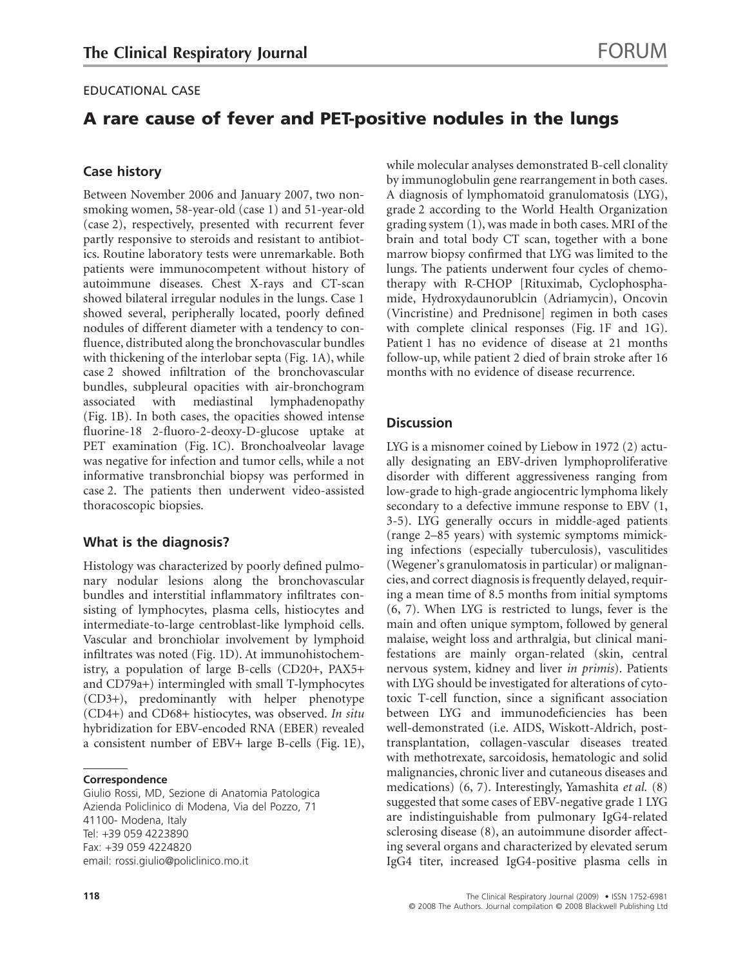## EDUCATIONAL CASE

# **A rare cause of fever and PET-positive nodules in the lungs**

## **Case history**

Between November 2006 and January 2007, two nonsmoking women, 58-year-old (case 1) and 51-year-old (case 2), respectively, presented with recurrent fever partly responsive to steroids and resistant to antibiotics. Routine laboratory tests were unremarkable. Both patients were immunocompetent without history of autoimmune diseases. Chest X-rays and CT-scan showed bilateral irregular nodules in the lungs. Case 1 showed several, peripherally located, poorly defined nodules of different diameter with a tendency to confluence, distributed along the bronchovascular bundles with thickening of the interlobar septa (Fig. 1A), while case 2 showed infiltration of the bronchovascular bundles, subpleural opacities with air-bronchogram associated with mediastinal lymphadenopathy (Fig. 1B). In both cases, the opacities showed intense fluorine-18 2-fluoro-2-deoxy-D-glucose uptake at PET examination (Fig. 1C). Bronchoalveolar lavage was negative for infection and tumor cells, while a not informative transbronchial biopsy was performed in case 2. The patients then underwent video-assisted thoracoscopic biopsies.

### **What is the diagnosis?**

Histology was characterized by poorly defined pulmonary nodular lesions along the bronchovascular bundles and interstitial inflammatory infiltrates consisting of lymphocytes, plasma cells, histiocytes and intermediate-to-large centroblast-like lymphoid cells. Vascular and bronchiolar involvement by lymphoid infiltrates was noted (Fig. 1D). At immunohistochemistry, a population of large B-cells (CD20+, PAX5+ and CD79a+) intermingled with small T-lymphocytes (CD3+), predominantly with helper phenotype (CD4+) and CD68+ histiocytes, was observed. *In situ* hybridization for EBV-encoded RNA (EBER) revealed a consistent number of EBV+ large B-cells (Fig. 1E),

#### **Correspondence**

Giulio Rossi, MD, Sezione di Anatomia Patologica Azienda Policlinico di Modena, Via del Pozzo, 71 41100- Modena, Italy Tel: +39 059 4223890 Fax: +39 059 4224820 email: rossi.[giulio@policlinico.mo.it](mailto:giulio@policlinico.mo.it)

while molecular analyses demonstrated B-cell clonality by immunoglobulin gene rearrangement in both cases. A diagnosis of lymphomatoid granulomatosis (LYG), grade 2 according to the World Health Organization grading system (1), was made in both cases. MRI of the brain and total body CT scan, together with a bone marrow biopsy confirmed that LYG was limited to the lungs. The patients underwent four cycles of chemotherapy with R-CHOP [Rituximab, Cyclophosphamide, Hydroxydaunorublcin (Adriamycin), Oncovin (Vincristine) and Prednisone] regimen in both cases with complete clinical responses (Fig. 1F and 1G). Patient 1 has no evidence of disease at 21 months follow-up, while patient 2 died of brain stroke after 16 months with no evidence of disease recurrence.

## **Discussion**

LYG is a misnomer coined by Liebow in 1972 (2) actually designating an EBV-driven lymphoproliferative disorder with different aggressiveness ranging from low-grade to high-grade angiocentric lymphoma likely secondary to a defective immune response to EBV (1, 3-5). LYG generally occurs in middle-aged patients (range 2–85 years) with systemic symptoms mimicking infections (especially tuberculosis), vasculitides (Wegener's granulomatosis in particular) or malignancies, and correct diagnosis is frequently delayed, requiring a mean time of 8.5 months from initial symptoms (6, 7). When LYG is restricted to lungs, fever is the main and often unique symptom, followed by general malaise, weight loss and arthralgia, but clinical manifestations are mainly organ-related (skin, central nervous system, kidney and liver *in primis*). Patients with LYG should be investigated for alterations of cytotoxic T-cell function, since a significant association between LYG and immunodeficiencies has been well-demonstrated (i.e. AIDS, Wiskott-Aldrich, posttransplantation, collagen-vascular diseases treated with methotrexate, sarcoidosis, hematologic and solid malignancies, chronic liver and cutaneous diseases and medications) (6, 7). Interestingly, Yamashita *et al.* (8) suggested that some cases of EBV-negative grade 1 LYG are indistinguishable from pulmonary IgG4-related sclerosing disease (8), an autoimmune disorder affecting several organs and characterized by elevated serum IgG4 titer, increased IgG4-positive plasma cells in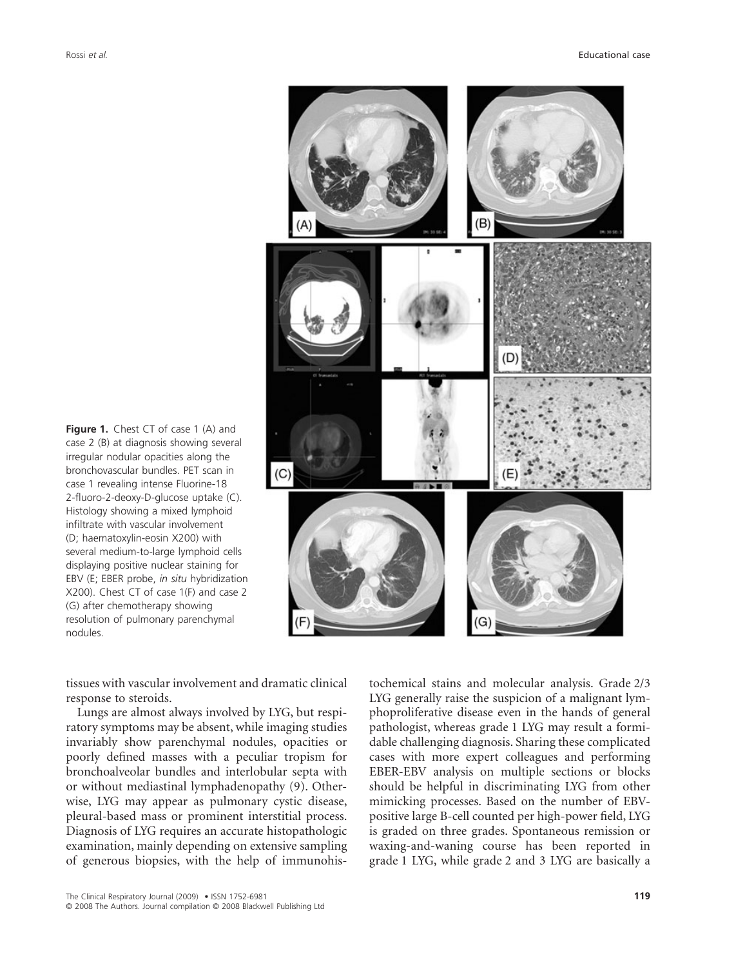

**Figure 1.** Chest CT of case 1 (A) and case 2 (B) at diagnosis showing several irregular nodular opacities along the bronchovascular bundles. PET scan in case 1 revealing intense Fluorine-18 2-fluoro-2-deoxy-D-glucose uptake (C). Histology showing a mixed lymphoid infiltrate with vascular involvement (D; haematoxylin-eosin X200) with several medium-to-large lymphoid cells displaying positive nuclear staining for EBV (E; EBER probe, *in situ* hybridization X200). Chest CT of case 1(F) and case 2 (G) after chemotherapy showing resolution of pulmonary parenchymal nodules.

tissues with vascular involvement and dramatic clinical response to steroids.

Lungs are almost always involved by LYG, but respiratory symptoms may be absent, while imaging studies invariably show parenchymal nodules, opacities or poorly defined masses with a peculiar tropism for bronchoalveolar bundles and interlobular septa with or without mediastinal lymphadenopathy (9). Otherwise, LYG may appear as pulmonary cystic disease, pleural-based mass or prominent interstitial process. Diagnosis of LYG requires an accurate histopathologic examination, mainly depending on extensive sampling of generous biopsies, with the help of immunohistochemical stains and molecular analysis. Grade 2/3 LYG generally raise the suspicion of a malignant lymphoproliferative disease even in the hands of general pathologist, whereas grade 1 LYG may result a formidable challenging diagnosis. Sharing these complicated cases with more expert colleagues and performing EBER-EBV analysis on multiple sections or blocks should be helpful in discriminating LYG from other mimicking processes. Based on the number of EBVpositive large B-cell counted per high-power field, LYG is graded on three grades. Spontaneous remission or waxing-and-waning course has been reported in grade 1 LYG, while grade 2 and 3 LYG are basically a